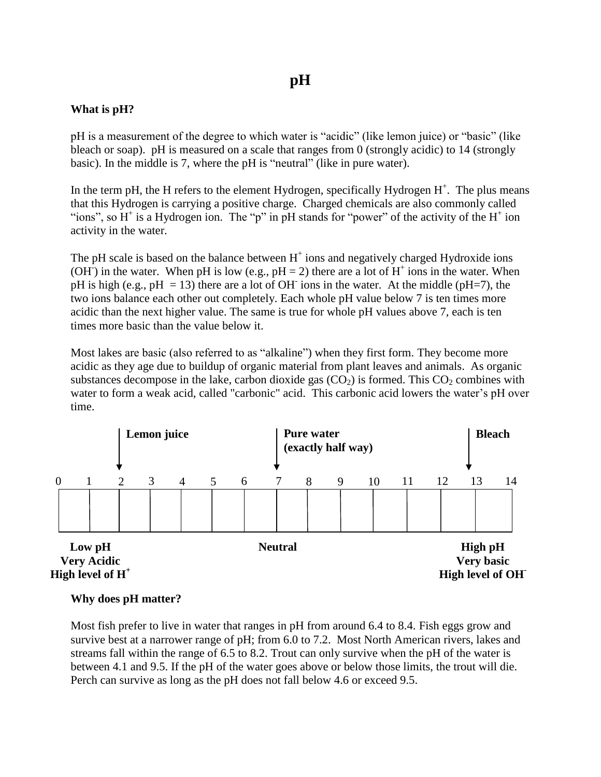# **pH**

### **What is pH?**

pH is a measurement of the degree to which water is "acidic" (like lemon juice) or "basic" (like bleach or soap). pH is measured on a scale that ranges from 0 (strongly acidic) to 14 (strongly basic). In the middle is 7, where the pH is "neutral" (like in pure water).

In the term pH, the H refers to the element Hydrogen, specifically Hydrogen  $H^+$ . The plus means that this Hydrogen is carrying a positive charge. Charged chemicals are also commonly called "ions", so  $H^+$  is a Hydrogen ion. The "p" in pH stands for "power" of the activity of the  $H^+$  ion activity in the water.

The pH scale is based on the balance between  $H^+$  ions and negatively charged Hydroxide ions (OH<sup>-</sup>) in the water. When pH is low (e.g.,  $pH = 2$ ) there are a lot of H<sup>+</sup> ions in the water. When pH is high (e.g., pH = 13) there are a lot of OH ions in the water. At the middle (pH=7), the two ions balance each other out completely. Each whole pH value below 7 is ten times more acidic than the next higher value. The same is true for whole pH values above 7, each is ten times more basic than the value below it.

Most lakes are basic (also referred to as "alkaline") when they first form. They become more acidic as they age due to buildup of organic material from plant leaves and animals. As organic substances decompose in the lake, carbon dioxide gas  $(CO<sub>2</sub>)$  is formed. This  $CO<sub>2</sub>$  combines with water to form a weak acid, called "carbonic" acid. This carbonic acid lowers the water's pH over time.



### **Why does pH matter?**

Most fish prefer to live in water that ranges in pH from around 6.4 to 8.4. Fish eggs grow and survive best at a narrower range of pH; from 6.0 to 7.2. Most North American rivers, lakes and streams fall within the range of 6.5 to 8.2. Trout can only survive when the pH of the water is between 4.1 and 9.5. If the pH of the water goes above or below those limits, the trout will die. Perch can survive as long as the pH does not fall below 4.6 or exceed 9.5.